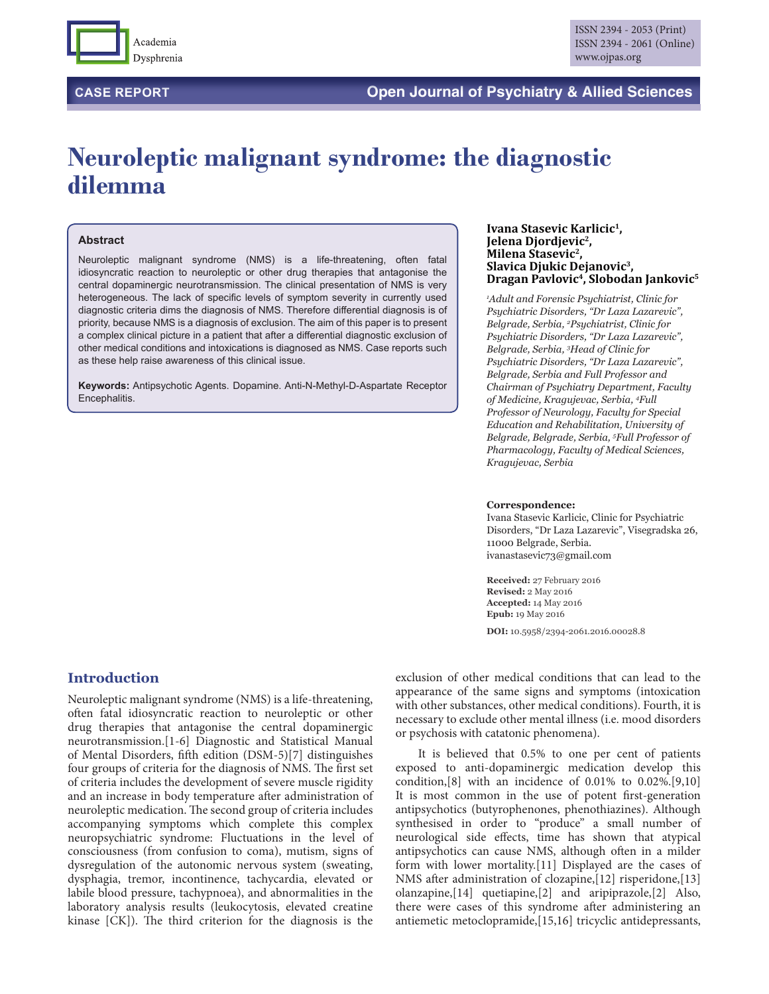

# **Neuroleptic malignant syndrome: the diagnostic dilemma**

### **Abstract**

Neuroleptic malignant syndrome (NMS) is a life-threatening, often fatal idiosyncratic reaction to neuroleptic or other drug therapies that antagonise the central dopaminergic neurotransmission. The clinical presentation of NMS is very heterogeneous. The lack of specific levels of symptom severity in currently used diagnostic criteria dims the diagnosis of NMS. Therefore differential diagnosis is of priority, because NMS is a diagnosis of exclusion. The aim of this paper is to present a complex clinical picture in a patient that after a differential diagnostic exclusion of other medical conditions and intoxications is diagnosed as NMS. Case reports such as these help raise awareness of this clinical issue.

**Keywords:** Antipsychotic Agents. Dopamine. Anti-N-Methyl-D-Aspartate Receptor Encephalitis.

#### **Ivana Stasevic Karlicic1, Jelena Djordjevic2, Milena Stasevic2, Slavica Djukic Dejanovic3, Dragan Pavlovic4, Slobodan Jankovic5**

*1 Adult and Forensic Psychiatrist, Clinic for Psychiatric Disorders, "Dr Laza Lazarevic", Belgrade, Serbia, 2 Psychiatrist, Clinic for Psychiatric Disorders, "Dr Laza Lazarevic", Belgrade, Serbia, 3 Head of Clinic for Psychiatric Disorders, "Dr Laza Lazarevic", Belgrade, Serbia and Full Professor and Chairman of Psychiatry Department, Faculty of Medicine, Kragujevac, Serbia, 4 Full Professor of Neurology, Faculty for Special Education and Rehabilitation, University of Belgrade, Belgrade, Serbia, 5 Full Professor of Pharmacology, Faculty of Medical Sciences, Kragujevac, Serbia*

#### **Correspondence:**

Ivana Stasevic Karlicic, Clinic for Psychiatric Disorders, "Dr Laza Lazarevic", Visegradska 26, 11000 Belgrade, Serbia. ivanastasevic73@gmail.com

**Received:** 27 February 2016 **Revised:** 2 May 2016 **Accepted:** 14 May 2016 **Epub:** 19 May 2016

**DOI:** 10.5958/2394-2061.2016.00028.8

# **Introduction**

Neuroleptic malignant syndrome (NMS) is a life-threatening, often fatal idiosyncratic reaction to neuroleptic or other drug therapies that antagonise the central dopaminergic neurotransmission.[1-6] Diagnostic and Statistical Manual of Mental Disorders, fifth edition (DSM-5)[7] distinguishes four groups of criteria for the diagnosis of NMS. The first set of criteria includes the development of severe muscle rigidity and an increase in body temperature after administration of neuroleptic medication. The second group of criteria includes accompanying symptoms which complete this complex neuropsychiatric syndrome: Fluctuations in the level of consciousness (from confusion to coma), mutism, signs of dysregulation of the autonomic nervous system (sweating, dysphagia, tremor, incontinence, tachycardia, elevated or labile blood pressure, tachypnoea), and abnormalities in the laboratory analysis results (leukocytosis, elevated creatine kinase [CK]). The third criterion for the diagnosis is the

exclusion of other medical conditions that can lead to the appearance of the same signs and symptoms (intoxication with other substances, other medical conditions). Fourth, it is necessary to exclude other mental illness (i.e. mood disorders or psychosis with catatonic phenomena).

It is believed that 0.5% to one per cent of patients exposed to anti-dopaminergic medication develop this condition,[8] with an incidence of 0.01% to 0.02%.[9,10] It is most common in the use of potent first-generation antipsychotics (butyrophenones, phenothiazines). Although synthesised in order to "produce" a small number of neurological side effects, time has shown that atypical antipsychotics can cause NMS, although often in a milder form with lower mortality.[11] Displayed are the cases of NMS after administration of clozapine,[12] risperidone,[13] olanzapine,[14] quetiapine,[2] and aripiprazole,[2] Also, there were cases of this syndrome after administering an antiemetic metoclopramide,[15,16] tricyclic antidepressants,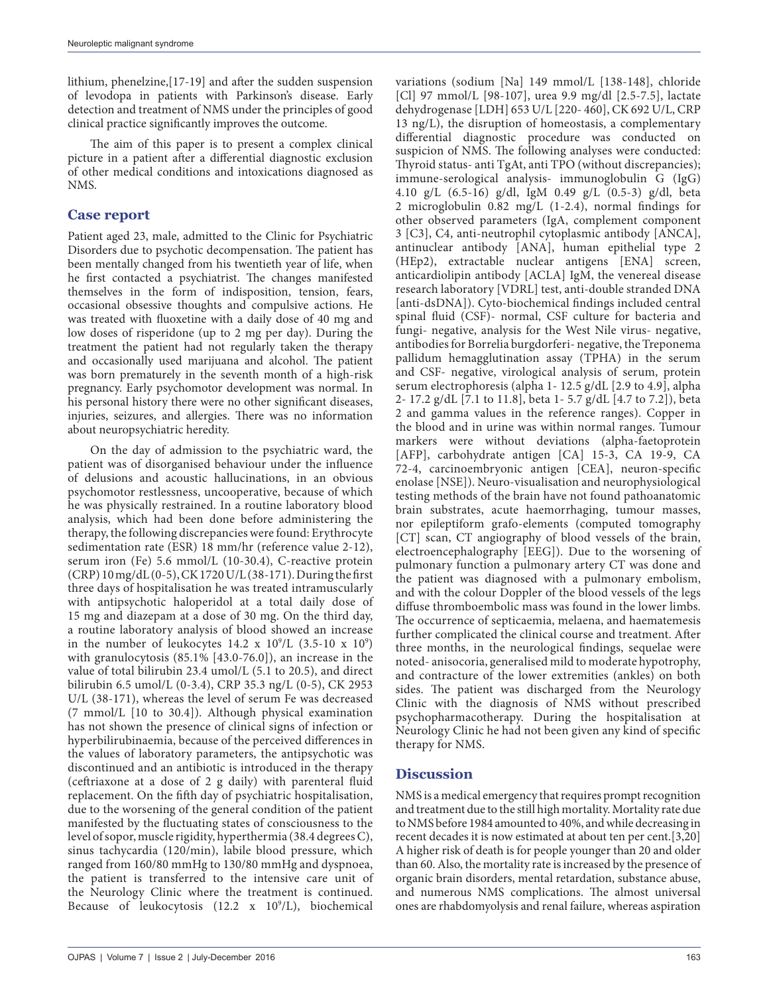lithium, phenelzine,[17-19] and after the sudden suspension of levodopa in patients with Parkinson's disease. Early detection and treatment of NMS under the principles of good clinical practice significantly improves the outcome.

The aim of this paper is to present a complex clinical picture in a patient after a differential diagnostic exclusion of other medical conditions and intoxications diagnosed as NMS.

# **Case report**

Patient aged 23, male, admitted to the Clinic for Psychiatric Disorders due to psychotic decompensation. The patient has been mentally changed from his twentieth year of life, when he first contacted a psychiatrist. The changes manifested themselves in the form of indisposition, tension, fears, occasional obsessive thoughts and compulsive actions. He was treated with fluoxetine with a daily dose of 40 mg and low doses of risperidone (up to 2 mg per day). During the treatment the patient had not regularly taken the therapy and occasionally used marijuana and alcohol. The patient was born prematurely in the seventh month of a high-risk pregnancy. Early psychomotor development was normal. In his personal history there were no other significant diseases, injuries, seizures, and allergies. There was no information about neuropsychiatric heredity.

On the day of admission to the psychiatric ward, the patient was of disorganised behaviour under the influence of delusions and acoustic hallucinations, in an obvious psychomotor restlessness, uncooperative, because of which he was physically restrained. In a routine laboratory blood analysis, which had been done before administering the therapy, the following discrepancies were found: Erythrocyte sedimentation rate (ESR) 18 mm/hr (reference value 2-12), serum iron (Fe) 5.6 mmol/L (10-30.4), C-reactive protein (CRP) 10 mg/dL (0-5), CK 1720 U/L (38-171). During the first three days of hospitalisation he was treated intramuscularly with antipsychotic haloperidol at a total daily dose of 15 mg and diazepam at a dose of 30 mg. On the third day, a routine laboratory analysis of blood showed an increase in the number of leukocytes  $14.2 \times 10^9$ /L  $(3.5\n-10 \times 10^9)$ with granulocytosis (85.1% [43.0-76.0]), an increase in the value of total bilirubin 23.4 umol/L (5.1 to 20.5), and direct bilirubin 6.5 umol/L (0-3.4), CRP 35.3 ng/L (0-5), CK 2953 U/L (38-171), whereas the level of serum Fe was decreased (7 mmol/L [10 to 30.4]). Although physical examination has not shown the presence of clinical signs of infection or hyperbilirubinaemia, because of the perceived differences in the values of laboratory parameters, the antipsychotic was discontinued and an antibiotic is introduced in the therapy (ceftriaxone at a dose of 2 g daily) with parenteral fluid replacement. On the fifth day of psychiatric hospitalisation, due to the worsening of the general condition of the patient manifested by the fluctuating states of consciousness to the level of sopor, muscle rigidity, hyperthermia (38.4 degrees C), sinus tachycardia (120/min), labile blood pressure, which ranged from 160/80 mmHg to 130/80 mmHg and dyspnoea, the patient is transferred to the intensive care unit of the Neurology Clinic where the treatment is continued. Because of leukocytosis (12.2 x 10<sup>9</sup>/L), biochemical variations (sodium [Na] 149 mmol/L [138-148], chloride [Cl] 97 mmol/L [98-107], urea 9.9 mg/dl [2.5-7.5], lactate dehydrogenase [LDH] 653 U/L [220- 460], CK 692 U/L, CRP 13 ng/L), the disruption of homeostasis, a complementary differential diagnostic procedure was conducted on suspicion of NMS. The following analyses were conducted: Thyroid status- anti TgAt, anti TPO (without discrepancies); immune-serological analysis- immunoglobulin G (IgG) 4.10 g/L (6.5-16) g/dl, IgM 0.49 g/L (0.5-3) g/dl, beta 2 microglobulin 0.82 mg/L (1-2.4), normal findings for other observed parameters (IgA, complement component 3 [C3], C4, anti-neutrophil cytoplasmic antibody [ANCA], antinuclear antibody [ANA], human epithelial type 2 (HEp2), extractable nuclear antigens [ENA] screen, anticardiolipin antibody [ACLA] IgM, the venereal disease research laboratory [VDRL] test, anti-double stranded DNA [anti-dsDNA]). Cyto-biochemical findings included central spinal fluid (CSF)- normal, CSF culture for bacteria and fungi- negative, analysis for the West Nile virus- negative, antibodies for Borrelia burgdorferi- negative, the Treponema pallidum hemagglutination assay (TPHA) in the serum and CSF- negative, virological analysis of serum, protein serum electrophoresis (alpha 1- 12.5 g/dL [2.9 to 4.9], alpha 2- 17.2 g/dL [7.1 to 11.8], beta 1- 5.7 g/dL [4.7 to 7.2]), beta 2 and gamma values in the reference ranges). Copper in the blood and in urine was within normal ranges. Tumour markers were without deviations (alpha-faetoprotein [AFP], carbohydrate antigen [CA] 15-3, CA 19-9, CA 72-4, carcinoembryonic antigen [CEA], neuron-specific enolase [NSE]). Neuro-visualisation and neurophysiological testing methods of the brain have not found pathoanatomic brain substrates, acute haemorrhaging, tumour masses, nor epileptiform grafo-elements (computed tomography [CT] scan, CT angiography of blood vessels of the brain, electroencephalography [EEG]). Due to the worsening of pulmonary function a pulmonary artery CT was done and the patient was diagnosed with a pulmonary embolism, and with the colour Doppler of the blood vessels of the legs diffuse thromboembolic mass was found in the lower limbs. The occurrence of septicaemia, melaena, and haematemesis further complicated the clinical course and treatment. After three months, in the neurological findings, sequelae were noted- anisocoria, generalised mild to moderate hypotrophy, and contracture of the lower extremities (ankles) on both sides. The patient was discharged from the Neurology Clinic with the diagnosis of NMS without prescribed psychopharmacotherapy. During the hospitalisation at Neurology Clinic he had not been given any kind of specific therapy for NMS.

## **Discussion**

NMS is a medical emergency that requires prompt recognition and treatment due to the still high mortality. Mortality rate due to NMS before 1984 amounted to 40%, and while decreasing in recent decades it is now estimated at about ten per cent.[3,20] A higher risk of death is for people younger than 20 and older than 60. Also, the mortality rate is increased by the presence of organic brain disorders, mental retardation, substance abuse, and numerous NMS complications. The almost universal ones are rhabdomyolysis and renal failure, whereas aspiration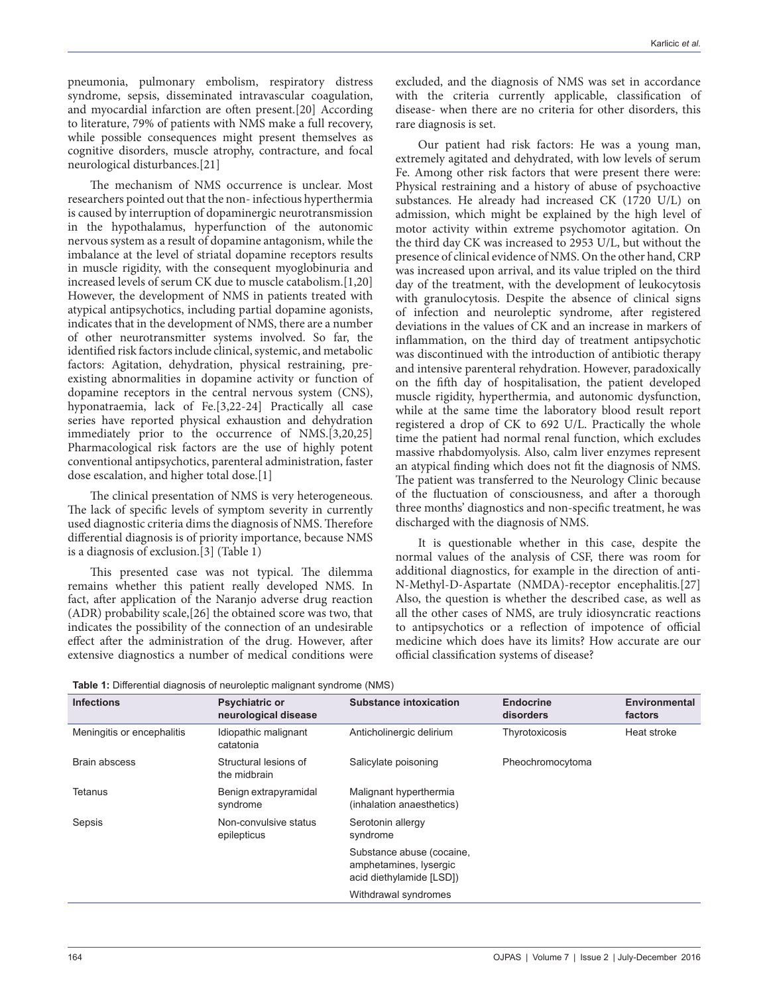pneumonia, pulmonary embolism, respiratory distress syndrome, sepsis, disseminated intravascular coagulation, and myocardial infarction are often present.[20] According to literature, 79% of patients with NMS make a full recovery, while possible consequences might present themselves as cognitive disorders, muscle atrophy, contracture, and focal neurological disturbances.[21]

The mechanism of NMS occurrence is unclear. Most researchers pointed out that the non- infectious hyperthermia is caused by interruption of dopaminergic neurotransmission in the hypothalamus, hyperfunction of the autonomic nervous system as a result of dopamine antagonism, while the imbalance at the level of striatal dopamine receptors results in muscle rigidity, with the consequent myoglobinuria and increased levels of serum CK due to muscle catabolism.[1,20] However, the development of NMS in patients treated with atypical antipsychotics, including partial dopamine agonists, indicates that in the development of NMS, there are a number of other neurotransmitter systems involved. So far, the identified risk factors include clinical, systemic, and metabolic factors: Agitation, dehydration, physical restraining, preexisting abnormalities in dopamine activity or function of dopamine receptors in the central nervous system (CNS), hyponatraemia, lack of Fe.[3,22-24] Practically all case series have reported physical exhaustion and dehydration immediately prior to the occurrence of NMS.[3,20,25] Pharmacological risk factors are the use of highly potent conventional antipsychotics, parenteral administration, faster dose escalation, and higher total dose.[1]

The clinical presentation of NMS is very heterogeneous. The lack of specific levels of symptom severity in currently used diagnostic criteria dims the diagnosis of NMS. Therefore differential diagnosis is of priority importance, because NMS is a diagnosis of exclusion.[3] (Table 1)

This presented case was not typical. The dilemma remains whether this patient really developed NMS. In fact, after application of the Naranjo adverse drug reaction (ADR) probability scale,[26] the obtained score was two, that indicates the possibility of the connection of an undesirable effect after the administration of the drug. However, after extensive diagnostics a number of medical conditions were

excluded, and the diagnosis of NMS was set in accordance with the criteria currently applicable, classification of disease- when there are no criteria for other disorders, this rare diagnosis is set.

Our patient had risk factors: He was a young man, extremely agitated and dehydrated, with low levels of serum Fe. Among other risk factors that were present there were: Physical restraining and a history of abuse of psychoactive substances. He already had increased CK (1720 U/L) on admission, which might be explained by the high level of motor activity within extreme psychomotor agitation. On the third day CK was increased to 2953 U/L, but without the presence of clinical evidence of NMS. On the other hand, CRP was increased upon arrival, and its value tripled on the third day of the treatment, with the development of leukocytosis with granulocytosis. Despite the absence of clinical signs of infection and neuroleptic syndrome, after registered deviations in the values of CK and an increase in markers of inflammation, on the third day of treatment antipsychotic was discontinued with the introduction of antibiotic therapy and intensive parenteral rehydration. However, paradoxically on the fifth day of hospitalisation, the patient developed muscle rigidity, hyperthermia, and autonomic dysfunction, while at the same time the laboratory blood result report registered a drop of CK to 692 U/L. Practically the whole time the patient had normal renal function, which excludes massive rhabdomyolysis. Also, calm liver enzymes represent an atypical finding which does not fit the diagnosis of NMS. The patient was transferred to the Neurology Clinic because of the fluctuation of consciousness, and after a thorough three months' diagnostics and non-specific treatment, he was discharged with the diagnosis of NMS.

It is questionable whether in this case, despite the normal values of the analysis of CSF, there was room for additional diagnostics, for example in the direction of anti-N-Methyl-D-Aspartate (NMDA)-receptor encephalitis.[27] Also, the question is whether the described case, as well as all the other cases of NMS, are truly idiosyncratic reactions to antipsychotics or a reflection of impotence of official medicine which does have its limits? How accurate are our official classification systems of disease?

| Table 1: Differential diagnosis of neuroleptic malignant syndrome (NMS) |
|-------------------------------------------------------------------------|
|-------------------------------------------------------------------------|

| <b>Infections</b>          | <b>Psychiatric or</b><br>neurological disease | <b>Substance intoxication</b>                                                   | <b>Endocrine</b><br>disorders | Environmental<br>factors |
|----------------------------|-----------------------------------------------|---------------------------------------------------------------------------------|-------------------------------|--------------------------|
| Meningitis or encephalitis | Idiopathic malignant<br>catatonia             | Anticholinergic delirium                                                        | Thyrotoxicosis                | Heat stroke              |
| Brain abscess              | Structural lesions of<br>the midbrain         | Salicylate poisoning                                                            | Pheochromocytoma              |                          |
| <b>Tetanus</b>             | Benign extrapyramidal<br>syndrome             | Malignant hyperthermia<br>(inhalation anaesthetics)                             |                               |                          |
| Sepsis                     | Non-convulsive status<br>epilepticus          | Serotonin allergy<br>syndrome                                                   |                               |                          |
|                            |                                               | Substance abuse (cocaine,<br>amphetamines, lysergic<br>acid diethylamide [LSD]) |                               |                          |
|                            |                                               | Withdrawal syndromes                                                            |                               |                          |